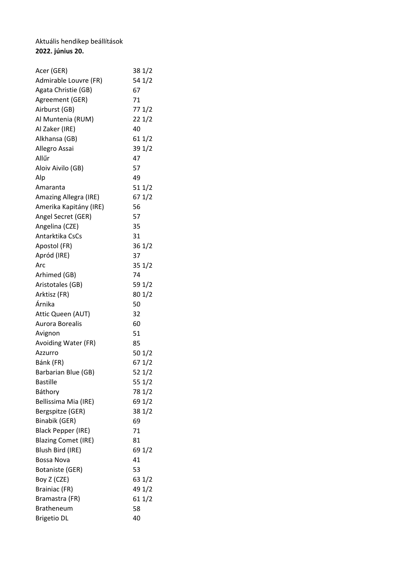## Aktuális hendikep beállítások **2022. június 20.**

| Acer (GER)                 | 38 1/2 |
|----------------------------|--------|
| Admirable Louvre (FR)      | 54 1/2 |
| Agata Christie (GB)        | 67     |
| Agreement (GER)            | 71     |
| Airburst (GB)              | 77 1/2 |
| Al Muntenia (RUM)          | 221/2  |
| Al Zaker (IRE)             | 40     |
| Alkhansa (GB)              | 611/2  |
| Allegro Assai              | 39 1/2 |
| Allűr                      | 47     |
| Aloiv Aivilo (GB)          | 57     |
| Alp                        | 49     |
| Amaranta                   | 511/2  |
| Amazing Allegra (IRE)      | 67 1/2 |
| Amerika Kapitány (IRE)     | 56     |
| Angel Secret (GER)         | 57     |
| Angelina (CZE)             | 35     |
| Antarktika CsCs            | 31     |
| Apostol (FR)               | 361/2  |
| Apród (IRE)                | 37     |
| Arc                        | 351/2  |
| Arhimed (GB)               | 74     |
| Aristotales (GB)           | 59 1/2 |
| Arktisz (FR)               | 801/2  |
| Árnika                     | 50     |
| Attic Queen (AUT)          | 32     |
| Aurora Borealis            | 60     |
| Avignon                    | 51     |
| Avoiding Water (FR)        | 85     |
| Azzurro                    | 50 1/2 |
| Bánk (FR)                  | 67 1/2 |
| Barbarian Blue (GB)        | 521/2  |
| <b>Bastille</b>            | 55 1/2 |
| Báthory                    | 78 1/2 |
| Bellissima Mia (IRE)       | 69 1/2 |
| Bergspitze (GER)           | 38 1/2 |
| Binabik (GER)              | 69     |
| <b>Black Pepper (IRE)</b>  | 71     |
| <b>Blazing Comet (IRE)</b> | 81     |
| Blush Bird (IRE)           | 69 1/2 |
| Bossa Nova                 | 41     |
| Botaniste (GER)            | 53     |
| Boy Z (CZE)                | 63 1/2 |
| Brainiac (FR)              | 49 1/2 |
| Bramastra (FR)             | 611/2  |
| <b>Bratheneum</b>          | 58     |
| <b>Brigetio DL</b>         | 40     |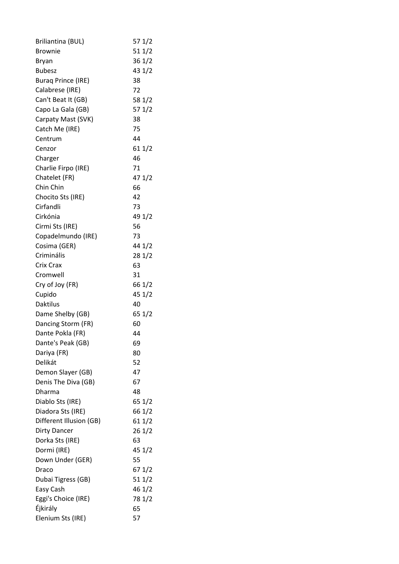| Briliantina (BUL)         | 571/2  |
|---------------------------|--------|
| <b>Brownie</b>            | 511/2  |
| <b>Bryan</b>              | 361/2  |
| <b>Bubesz</b>             | 43 1/2 |
| <b>Burag Prince (IRE)</b> | 38     |
| Calabrese (IRE)           | 72     |
| Can't Beat It (GB)        | 58 1/2 |
| Capo La Gala (GB)         | 571/2  |
| Carpaty Mast (SVK)        | 38     |
| Catch Me (IRE)            | 75     |
| Centrum                   | 44     |
| Cenzor                    | 611/2  |
| Charger                   | 46     |
| Charlie Firpo (IRE)       | 71     |
| Chatelet (FR)             | 471/2  |
| Chin Chin                 | 66     |
| Chocito Sts (IRE)         | 42     |
| Cirfandli                 | 73     |
| Cirkónia                  | 49 1/2 |
| Cirmi Sts (IRE)           | 56     |
| Copadelmundo (IRE)        | 73     |
| Cosima (GER)              | 44 1/2 |
| Criminális                | 281/2  |
| Crix Crax                 | 63     |
| Cromwell                  | 31     |
| Cry of Joy (FR)           | 66 1/2 |
| Cupido                    | 45 1/2 |
| <b>Daktilus</b>           | 40     |
| Dame Shelby (GB)          | 65 1/2 |
| Dancing Storm (FR)        | 60     |
| Dante Pokla (FR)          | 44     |
| Dante's Peak (GB)         | 69     |
| Dariya (FR)               | 80     |
| Delikát                   | 52     |
| Demon Slayer (GB)         | 47     |
| Denis The Diva (GB)       | 67     |
| Dharma                    | 48     |
| Diablo Sts (IRE)          | 65 1/2 |
| Diadora Sts (IRE)         | 66 1/2 |
| Different Illusion (GB)   | 61 1/2 |
| <b>Dirty Dancer</b>       | 261/2  |
| Dorka Sts (IRE)           | 63     |
| Dormi (IRE)               | 45 1/2 |
| Down Under (GER)          | 55     |
| Draco                     | 67 1/2 |
| Dubai Tigress (GB)        | 511/2  |
| Easy Cash                 | 46 1/2 |
| Eggi's Choice (IRE)       | 78 1/2 |
| Éjkirály                  | 65     |
| Elenium Sts (IRE)         | 57     |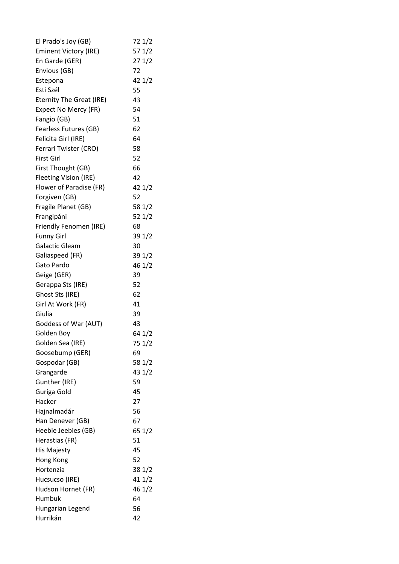| El Prado's Joy (GB)             | 72 1/2 |
|---------------------------------|--------|
| <b>Eminent Victory (IRE)</b>    | 57 1/2 |
| En Garde (GER)                  | 271/2  |
| Envious (GB)                    | 72     |
| Estepona                        | 42 1/2 |
| Esti Szél                       | 55     |
| <b>Eternity The Great (IRE)</b> | 43     |
| Expect No Mercy (FR)            | 54     |
| Fangio (GB)                     | 51     |
| Fearless Futures (GB)           | 62     |
| Felicita Girl (IRE)             | 64     |
| Ferrari Twister (CRO)           | 58     |
| <b>First Girl</b>               | 52     |
| First Thought (GB)              | 66     |
| Fleeting Vision (IRE)           | 42     |
| Flower of Paradise (FR)         | 421/2  |
| Forgiven (GB)                   | 52     |
| Fragile Planet (GB)             | 58 1/2 |
| Frangipáni                      | 52 1/2 |
| Friendly Fenomen (IRE)          | 68     |
| <b>Funny Girl</b>               | 39 1/2 |
| Galactic Gleam                  | 30     |
| Galiaspeed (FR)                 | 39 1/2 |
| Gato Pardo                      | 46 1/2 |
| Geige (GER)                     | 39     |
| Gerappa Sts (IRE)               | 52     |
| Ghost Sts (IRE)                 | 62     |
| Girl At Work (FR)               | 41     |
| Giulia                          | 39     |
| Goddess of War (AUT)            | 43     |
| Golden Boy                      | 64 1/2 |
| Golden Sea (IRE)                | 75 1/2 |
| Goosebump (GER)                 | 69     |
| Gospodar (GB)                   | 58 1/2 |
| Grangarde                       | 43 1/2 |
| Gunther (IRE)                   | 59     |
| Guriga Gold                     | 45     |
| Hacker                          | 27     |
| Hajnalmadár                     | 56     |
| Han Denever (GB)                | 67     |
| Heebie Jeebies (GB)             | 65 1/2 |
| Herastias (FR)                  | 51     |
| His Majesty                     | 45     |
| Hong Kong                       | 52     |
| Hortenzia                       | 38 1/2 |
| Hucsucso (IRE)                  | 411/2  |
| Hudson Hornet (FR)              | 46 1/2 |
| Humbuk                          | 64     |
| Hungarian Legend                | 56     |
| Hurrikán                        | 42     |
|                                 |        |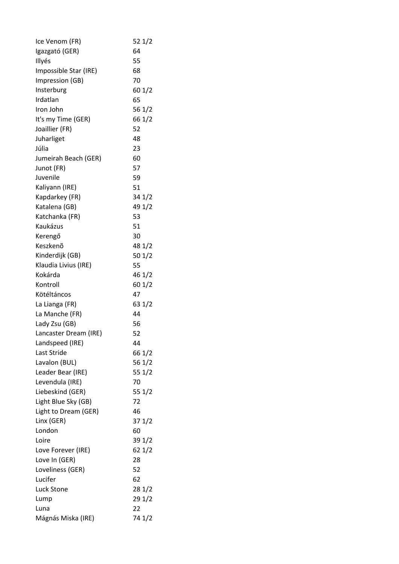| Ice Venom (FR)        | 521/2  |
|-----------------------|--------|
| Igazgató (GER)        | 64     |
| Illyés                | 55     |
| Impossible Star (IRE) | 68     |
| Impression (GB)       | 70     |
| Insterburg            | 601/2  |
| Irdatlan              | 65     |
| Iron John             | 56 1/2 |
| It's my Time (GER)    | 66 1/2 |
| Joaillier (FR)        | 52     |
| Juharliget            | 48     |
| Júlia                 | 23     |
| Jumeirah Beach (GER)  | 60     |
| Junot (FR)            | 57     |
| Juvenile              | 59     |
| Kaliyann (IRE)        | 51     |
| Kapdarkey (FR)        | 34 1/2 |
| Katalena (GB)         | 49 1/2 |
| Katchanka (FR)        | 53     |
| Kaukázus              | 51     |
| Kerengő               | 30     |
| Keszkenő              | 48 1/2 |
| Kinderdijk (GB)       | 501/2  |
| Klaudia Livius (IRE)  | 55     |
| Kokárda               | 46 1/2 |
| Kontroll              | 60 1/2 |
| Kötéltáncos           | 47     |
| La Lianga (FR)        | 63 1/2 |
| La Manche (FR)        | 44     |
| Lady Zsu (GB)         | 56     |
| Lancaster Dream (IRE) | 52     |
| Landspeed (IRE)       | 44     |
| Last Stride           | 66 1/2 |
| Lavalon (BUL)         | 56 1/2 |
| Leader Bear (IRE)     | 55 1/2 |
| Levendula (IRE)       | 70     |
| Liebeskind (GER)      | 55 1/2 |
| Light Blue Sky (GB)   | 72     |
| Light to Dream (GER)  | 46     |
| Linx (GER)            | 371/2  |
| London                | 60     |
| Loire                 | 39 1/2 |
| Love Forever (IRE)    | 621/2  |
| Love In (GER)         | 28     |
| Loveliness (GER)      | 52     |
| Lucifer               | 62     |
| <b>Luck Stone</b>     | 281/2  |
| Lump                  | 291/2  |
| Luna                  | 22     |
| Mágnás Miska (IRE)    | 74 1/2 |
|                       |        |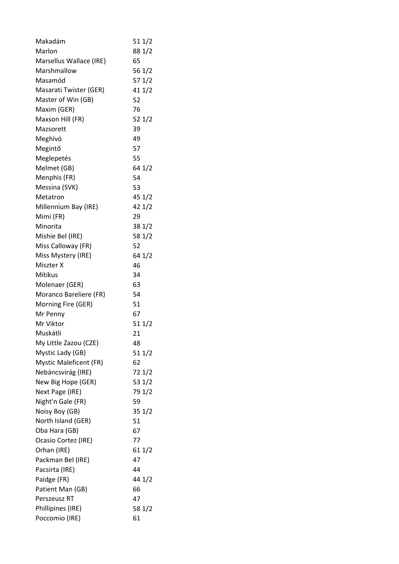| Makadám                       | 511/2  |
|-------------------------------|--------|
| Marlon                        | 88 1/2 |
| Marsellus Wallace (IRE)       | 65     |
| Marshmallow                   | 56 1/2 |
| Masamód                       | 571/2  |
| Masarati Twister (GER)        | 411/2  |
| Master of Win (GB)            | 52     |
| Maxim (GER)                   | 76     |
| Maxson Hill (FR)              | 521/2  |
| Mazsorett                     | 39     |
| Meghívó                       | 49     |
| Megintő                       | 57     |
| Meglepetés                    | 55     |
| Melmet (GB)                   | 64 1/2 |
| Menphis (FR)                  | 54     |
| Messina (SVK)                 | 53     |
| Metatron                      | 45 1/2 |
| Millennium Bay (IRE)          | 42 1/2 |
| Mimi (FR)                     | 29     |
| Minorita                      | 38 1/2 |
| Mishie Bel (IRE)              | 58 1/2 |
| Miss Calloway (FR)            | 52     |
| Miss Mystery (IRE)            | 64 1/2 |
| Miszter X                     | 46     |
| Mítikus                       | 34     |
| Molenaer (GER)                | 63     |
| Moranco Bareliere (FR)        | 54     |
| Morning Fire (GER)            | 51     |
| Mr Penny                      | 67     |
| Mr Viktor                     | 511/2  |
| Muskátli                      | 21     |
| My Little Zazou (CZE)         | 48     |
| Mystic Lady (GB)              | 511/2  |
| <b>Mystic Maleficent (FR)</b> | 62     |
| Nebáncsvirág (IRE)            | 72 1/2 |
| New Big Hope (GER)            | 53 1/2 |
| Next Page (IRE)               | 79 1/2 |
| Night'n Gale (FR)             | 59     |
| Noisy Boy (GB)                | 351/2  |
| North Island (GER)            | 51     |
| Oba Hara (GB)                 | 67     |
| Ocasio Cortez (IRE)           | 77     |
| Orhan (IRE)                   | 611/2  |
| Packman Bel (IRE)             | 47     |
| Pacsirta (IRE)                | 44     |
| Paidge (FR)                   | 44 1/2 |
| Patient Man (GB)              | 66     |
| Perszeusz RT                  | 47     |
| Phillipines (IRE)             | 58 1/2 |
| Poccomio (IRE)                | 61     |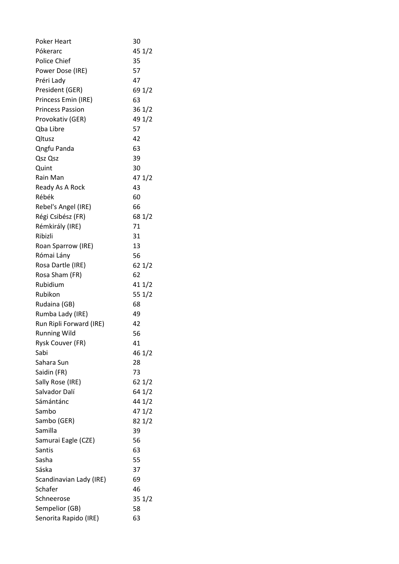| <b>Poker Heart</b>      | 30               |
|-------------------------|------------------|
| Pókerarc                | 45 1/2           |
| Police Chief            | 35               |
| Power Dose (IRE)        | 57               |
| Préri Lady              | 47               |
| President (GER)         | 69 1/2           |
| Princess Emin (IRE)     | 63               |
| <b>Princess Passion</b> | 361/2            |
| Provokativ (GER)        | 49 1/2           |
| Qba Libre               | 57               |
| Qltusz                  | 42               |
| Qngfu Panda             | 63               |
| Qsz Qsz                 | 39               |
| Quint                   | 30               |
| Rain Man                | 47 1/2           |
| Ready As A Rock         | 43               |
| Rébék                   | 60               |
| Rebel's Angel (IRE)     | 66               |
| Régi Csibész (FR)       | 68 1/2           |
| Rémkirály (IRE)         | 71               |
| Ribizli                 | 31               |
| Roan Sparrow (IRE)      | 13               |
| Római Lány              | 56               |
| Rosa Dartle (IRE)       | 621/2            |
| Rosa Sham (FR)          | 62               |
| Rubidium                | 41 1/2           |
| Rubikon                 | 55 1/2           |
| Rudaina (GB)            | 68               |
| Rumba Lady (IRE)        | 49               |
| Run Ripli Forward (IRE) | 42               |
| <b>Running Wild</b>     | 56               |
| Rysk Couver (FR)        | 41               |
| Sabi                    | 46 1/2           |
| Sahara Sun              | 28               |
| Saidin (FR)             | 73               |
| Sally Rose (IRE)        |                  |
| Salvador Dalí           | 62 1/2<br>64 1/2 |
| Sámántánc               |                  |
|                         | 44 1/2           |
| Sambo                   | 47 1/2           |
| Sambo (GER)             | 82 1/2           |
| Samilla                 | 39               |
| Samurai Eagle (CZE)     | 56               |
| Santis                  | 63               |
| Sasha                   | 55               |
| Sáska                   | 37               |
| Scandinavian Lady (IRE) | 69               |
| Schafer                 | 46               |
| Schneerose              | 351/2            |
| Sempelior (GB)          | 58               |
| Senorita Rapido (IRE)   | 63               |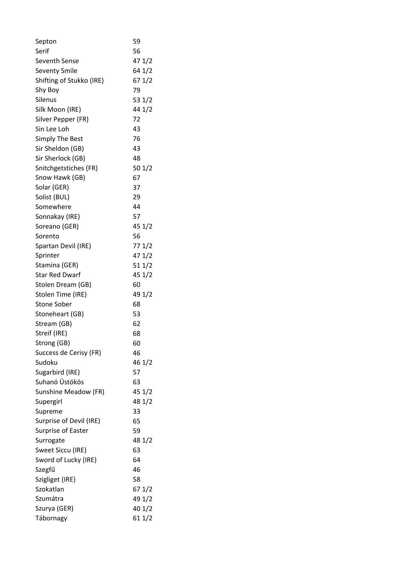| Septon                            | 59       |
|-----------------------------------|----------|
| Serif                             | 56       |
| <b>Seventh Sense</b>              | 47 1/2   |
| <b>Seventy Smile</b>              | 64 1/2   |
| Shifting of Stukko (IRE)          | 67 1/2   |
| Shy Boy                           | 79       |
| Silenus                           | 53 $1/2$ |
| Silk Moon (IRE)                   | 44 1/2   |
| Silver Pepper (FR)                | 72       |
| Sin Lee Loh                       | 43       |
| <b>Simply The Best</b>            | 76       |
| Sir Sheldon (GB)                  | 43       |
| Sir Sherlock (GB)                 | 48       |
| Snitchgetstiches (FR)             | 501/2    |
| Snow Hawk (GB)                    | 67       |
| Solar (GER)                       | 37       |
| Solist (BUL)                      | 29       |
| Somewhere                         | 44       |
| Sonnakay (IRE)                    | 57       |
| Soreano (GER)                     | 451/2    |
| Sorento                           | 56       |
| Spartan Devil (IRE)               | 771/2    |
| Sprinter                          | 471/2    |
| Stamina (GER)                     | 511/2    |
| <b>Star Red Dwarf</b>             | 45 1/2   |
| Stolen Dream (GB)                 | 60       |
| Stolen Time (IRE)                 | 49 1/2   |
| <b>Stone Sober</b>                | 68       |
| Stoneheart (GB)                   | 53       |
| Stream (GB)                       | 62       |
|                                   | 68       |
| Streif (IRE)                      |          |
| Strong (GB)                       | 60       |
| Success de Cerisy (FR)<br>Sudoku  | 46       |
|                                   | 46 1/2   |
| Sugarbird (IRE)<br>Suhanó Üstökös | 57       |
|                                   | 63       |
| Sunshine Meadow (FR)              | 45 1/2   |
| Supergirl                         | 48 1/2   |
| Supreme                           | 33       |
| Surprise of Devil (IRE)           | 65       |
| Surprise of Easter                | 59       |
| Surrogate                         | 48 1/2   |
| Sweet Siccu (IRE)                 | 63       |
| Sword of Lucky (IRE)              | 64       |
| Szegfű                            | 46       |
| Szigliget (IRE)                   | 58       |
| Szokatlan                         | 67 1/2   |
| Szumátra                          | 49 1/2   |
| Szurya (GER)                      | 40 1/2   |
| Tábornagy                         | 61 1/2   |